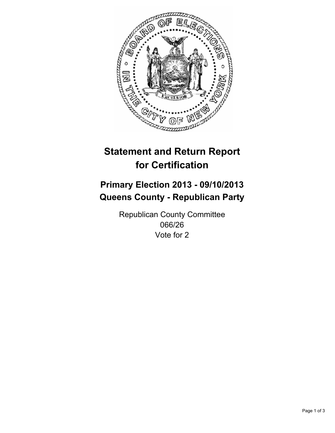

# **Statement and Return Report for Certification**

## **Primary Election 2013 - 09/10/2013 Queens County - Republican Party**

Republican County Committee 066/26 Vote for 2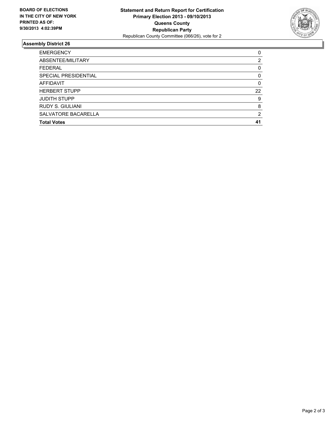

### **Assembly District 26**

| ABSENTEE/MILITARY<br><b>FEDERAL</b><br>SPECIAL PRESIDENTIAL<br>AFFIDAVIT<br><b>HERBERT STUPP</b><br><b>JUDITH STUPP</b><br><b>RUDY S. GIULIANI</b> | <b>EMERGENCY</b> | 0        |
|----------------------------------------------------------------------------------------------------------------------------------------------------|------------------|----------|
|                                                                                                                                                    |                  | 2        |
|                                                                                                                                                    |                  | 0        |
|                                                                                                                                                    |                  | 0        |
|                                                                                                                                                    |                  | $\Omega$ |
|                                                                                                                                                    |                  | 22       |
|                                                                                                                                                    |                  | 9        |
|                                                                                                                                                    |                  | 8        |
| SALVATORE BACARELLA                                                                                                                                |                  | 2        |
| <b>Total Votes</b>                                                                                                                                 |                  | 41       |